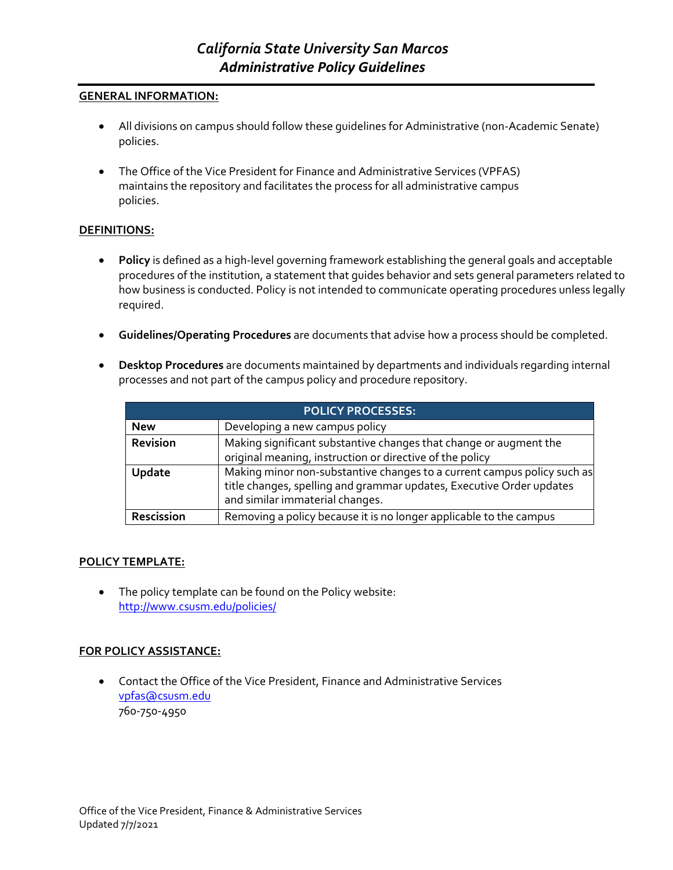## **GENERAL INFORMATION:**

- All divisions on campus should follow these guidelines for Administrative (non-Academic Senate) policies.
- The Office of the Vice President for Finance and Administrative Services (VPFAS) maintains the repository and facilitates the process for all administrative campus policies.

## **DEFINITIONS:**

- **Policy** is defined as a high-level governing framework establishing the general goals and acceptable procedures of the institution, a statement that guides behavior and sets general parameters related to how business is conducted. Policy is not intended to communicate operating procedures unless legally required.
- **Guidelines/Operating Procedures** are documents that advise how a process should be completed.
- **Desktop Procedures** are documents maintained by departments and individuals regarding internal processes and not part of the campus policy and procedure repository.

| <b>POLICY PROCESSES:</b> |                                                                                                                                                                                    |  |  |
|--------------------------|------------------------------------------------------------------------------------------------------------------------------------------------------------------------------------|--|--|
| <b>New</b>               | Developing a new campus policy                                                                                                                                                     |  |  |
| Revision                 | Making significant substantive changes that change or augment the<br>original meaning, instruction or directive of the policy                                                      |  |  |
| <b>Update</b>            | Making minor non-substantive changes to a current campus policy such as<br>title changes, spelling and grammar updates, Executive Order updates<br>and similar immaterial changes. |  |  |
| Rescission               | Removing a policy because it is no longer applicable to the campus                                                                                                                 |  |  |

## **POLICY TEMPLATE:**

• The policy template can be found on the Policy website[:](http://www.csusm.edu/policies/) <http://www.csusm.edu/policies/>

## **FOR POLICY ASSISTANCE:**

• Contact the Office of the Vice President, Finance and Administrative Service[s](mailto:vpfas@csusm.edu) [vpfas@csusm.edu](mailto:vpfas@csusm.edu) 760-750-4950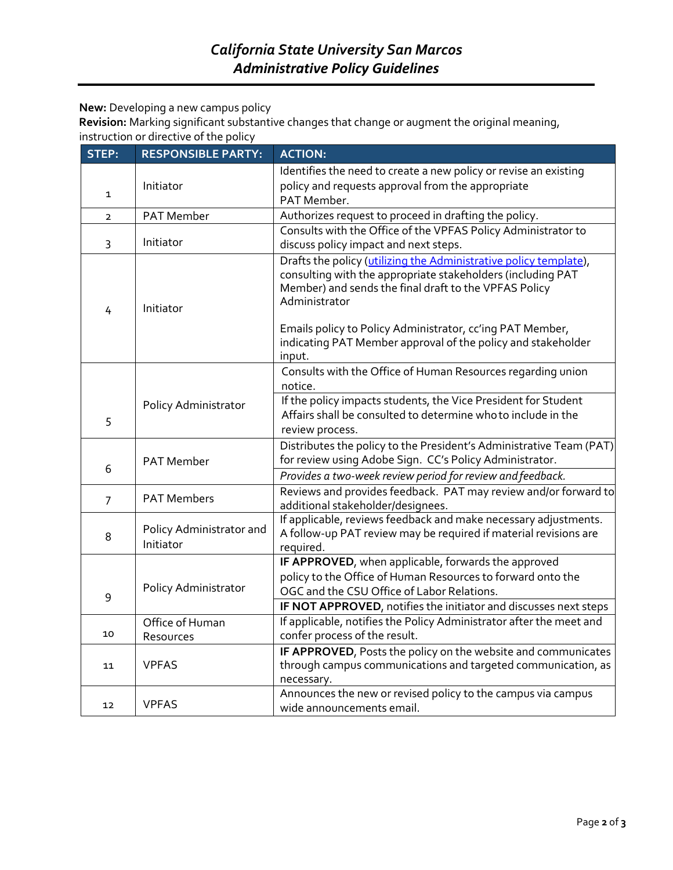**New:** Developing a new campus policy

**Revision:** Marking significant substantive changes that change or augment the original meaning, instruction or directive of the policy

| STEP:          | <b>RESPONSIBLE PARTY:</b>             | <b>ACTION:</b>                                                                                                                                                                                             |
|----------------|---------------------------------------|------------------------------------------------------------------------------------------------------------------------------------------------------------------------------------------------------------|
| 1              | Initiator                             | Identifies the need to create a new policy or revise an existing<br>policy and requests approval from the appropriate<br>PAT Member.                                                                       |
| $\overline{2}$ | <b>PAT Member</b>                     | Authorizes request to proceed in drafting the policy.                                                                                                                                                      |
| 3              | Initiator                             | Consults with the Office of the VPFAS Policy Administrator to<br>discuss policy impact and next steps.                                                                                                     |
| 4              | Initiator                             | Drafts the policy (utilizing the Administrative policy template),<br>consulting with the appropriate stakeholders (including PAT<br>Member) and sends the final draft to the VPFAS Policy<br>Administrator |
|                |                                       | Emails policy to Policy Administrator, cc'ing PAT Member,<br>indicating PAT Member approval of the policy and stakeholder<br>input.                                                                        |
|                | Policy Administrator                  | Consults with the Office of Human Resources regarding union<br>notice.                                                                                                                                     |
|                |                                       | If the policy impacts students, the Vice President for Student                                                                                                                                             |
| 5              |                                       | Affairs shall be consulted to determine who to include in the                                                                                                                                              |
|                |                                       | review process.                                                                                                                                                                                            |
|                | <b>PAT Member</b>                     | Distributes the policy to the President's Administrative Team (PAT)<br>for review using Adobe Sign. CC's Policy Administrator.                                                                             |
| 6              |                                       | Provides a two-week review period for review and feedback.                                                                                                                                                 |
| $\overline{7}$ | <b>PAT Members</b>                    | Reviews and provides feedback. PAT may review and/or forward to<br>additional stakeholder/designees.                                                                                                       |
| 8              | Policy Administrator and<br>Initiator | If applicable, reviews feedback and make necessary adjustments.<br>A follow-up PAT review may be required if material revisions are<br>required.                                                           |
|                |                                       | IF APPROVED, when applicable, forwards the approved                                                                                                                                                        |
|                | Policy Administrator                  | policy to the Office of Human Resources to forward onto the<br>OGC and the CSU Office of Labor Relations.                                                                                                  |
| 9              |                                       | IF NOT APPROVED, notifies the initiator and discusses next steps                                                                                                                                           |
| 10             | Office of Human<br>Resources          | If applicable, notifies the Policy Administrator after the meet and<br>confer process of the result.                                                                                                       |
| 11             | <b>VPFAS</b>                          | IF APPROVED, Posts the policy on the website and communicates<br>through campus communications and targeted communication, as<br>necessary.                                                                |
| 12             | <b>VPFAS</b>                          | Announces the new or revised policy to the campus via campus<br>wide announcements email.                                                                                                                  |